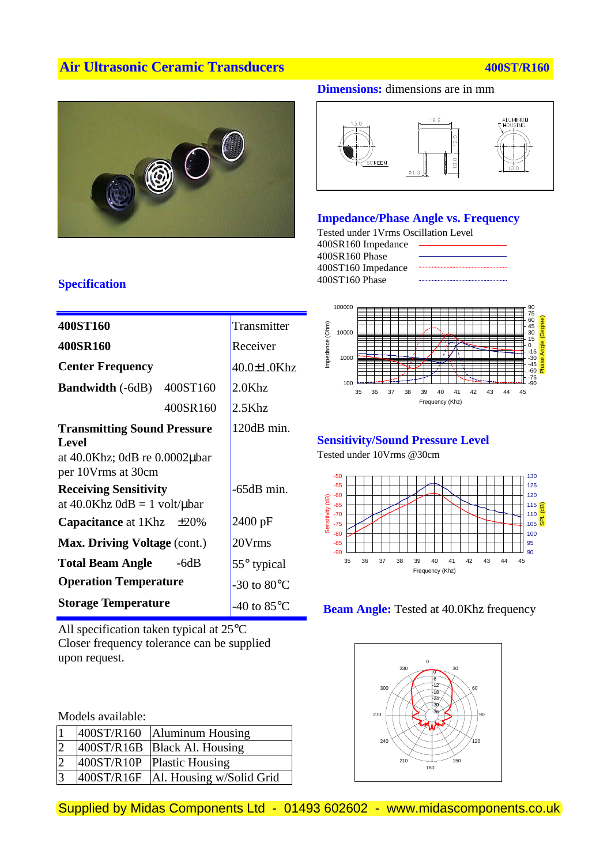# **Air Ultrasonic Ceramic Transducers 100ST/R160 400ST/R160**



#### **Dimensions:** dimensions are in mm



#### **Impedance/Phase Angle vs. Frequency**

Tested under 1Vrms Oscillation Level 400SR160 Impedance 400SR160 Phase 400ST160 Impedance 400ST160 Phase



#### **Sensitivity/Sound Pressure Level**

Tested under 10Vrms @30cm







# **Specification**

| Transmitter           |
|-----------------------|
| Receiver              |
| 40.0±1.0Khz           |
| $2.0$ Khz             |
| $2.5$ Khz             |
| 120dB min.            |
|                       |
| -65dB min.            |
| 2400 pF               |
| 20Vrms                |
| $55^{\circ}$ typical  |
| -30 to $80^{\circ}$ C |
| -40 to $85^{\circ}$ C |
|                       |

All specification taken typical at 25°C Closer frequency tolerance can be supplied upon request.

Models available:

| 1              |            | 400ST/R160   Aluminum Housing  |
|----------------|------------|--------------------------------|
| $\overline{2}$ |            | 400ST/R16B   Black Al. Housing |
| $\overline{2}$ |            | 400ST/R10P Plastic Housing     |
| $\overline{3}$ | 400ST/R16F | Al. Housing w/Solid Grid       |

Supplied by Midas Components Ltd - 01493 602602 - www.midascomponents.co.uk